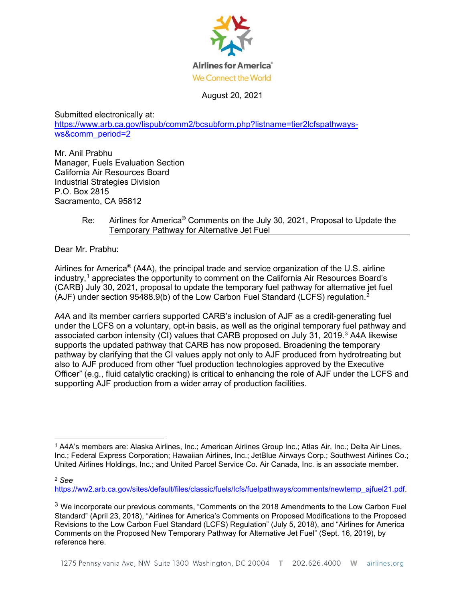

August 20, 2021

Submitted electronically at: [https://www.arb.ca.gov/lispub/comm2/bcsubform.php?listname=tier2lcfspathways](https://www.arb.ca.gov/lispub/comm2/bcsubform.php?listname=tier2lcfspathways-ws&comm_period=2)[ws&comm\\_period=2](https://www.arb.ca.gov/lispub/comm2/bcsubform.php?listname=tier2lcfspathways-ws&comm_period=2)

Mr. Anil Prabhu Manager, Fuels Evaluation Section California Air Resources Board Industrial Strategies Division P.O. Box 2815 Sacramento, CA 95812

> Re: Airlines for America® Comments on the July 30, 2021, Proposal to Update the Temporary Pathway for Alternative Jet Fuel

Dear Mr. Prabhu:

Airlines for America® (A4A), the principal trade and service organization of the U.S. airline industry, [1](#page-0-0) appreciates the opportunity to comment on the California Air Resources Board's (CARB) July 30, 2021, proposal to update the temporary fuel pathway for alternative jet fuel (AJF) under section 95488.9(b) of the Low Carbon Fuel Standard (LCFS) regulation.<sup>[2](#page-0-1)</sup>

A4A and its member carriers supported CARB's inclusion of AJF as a credit-generating fuel under the LCFS on a voluntary, opt-in basis, as well as the original temporary fuel pathway and associated carbon intensity (CI) values that CARB proposed on July [3](#page-0-2)1, 2019.<sup>3</sup> A4A likewise supports the updated pathway that CARB has now proposed. Broadening the temporary pathway by clarifying that the CI values apply not only to AJF produced from hydrotreating but also to AJF produced from other "fuel production technologies approved by the Executive Officer" (e.g., fluid catalytic cracking) is critical to enhancing the role of AJF under the LCFS and supporting AJF production from a wider array of production facilities.

[https://ww2.arb.ca.gov/sites/default/files/classic/fuels/lcfs/fuelpathways/comments/newtemp\\_ajfuel21.pdf.](https://ww2.arb.ca.gov/sites/default/files/classic/fuels/lcfs/fuelpathways/comments/newtemp_ajfuel21.pdf)

<span id="page-0-0"></span><sup>1</sup> A4A's members are: Alaska Airlines, Inc.; American Airlines Group Inc.; Atlas Air, Inc.; Delta Air Lines, Inc.; Federal Express Corporation; Hawaiian Airlines, Inc.; JetBlue Airways Corp.; Southwest Airlines Co.; United Airlines Holdings, Inc.; and United Parcel Service Co. Air Canada, Inc. is an associate member.

<span id="page-0-1"></span><sup>2</sup> *See* 

<span id="page-0-2"></span> $3$  We incorporate our previous comments, "Comments on the 2018 Amendments to the Low Carbon Fuel Standard" (April 23, 2018), "Airlines for America's Comments on Proposed Modifications to the Proposed Revisions to the Low Carbon Fuel Standard (LCFS) Regulation" (July 5, 2018), and "Airlines for America Comments on the Proposed New Temporary Pathway for Alternative Jet Fuel" (Sept. 16, 2019), by reference here.